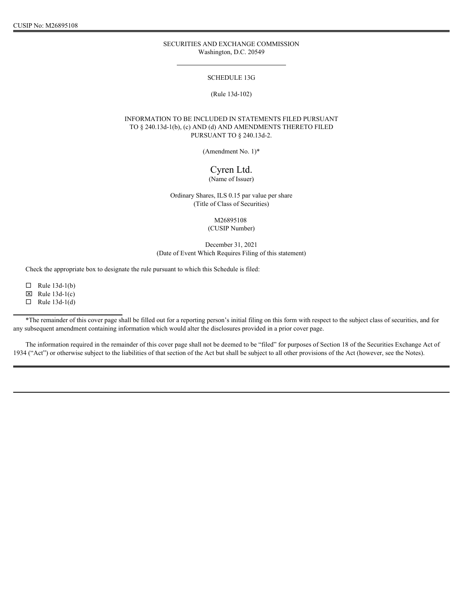## SECURITIES AND EXCHANGE COMMISSION Washington, D.C. 20549

#### SCHEDULE 13G

# (Rule 13d-102)

# INFORMATION TO BE INCLUDED IN STATEMENTS FILED PURSUANT TO § 240.13d-1(b), (c) AND (d) AND AMENDMENTS THERETO FILED PURSUANT TO § 240.13d-2.

(Amendment No. 1)\*

# Cyren Ltd. (Name of Issuer)

Ordinary Shares, ILS 0.15 par value per share (Title of Class of Securities)

> M26895108 (CUSIP Number)

December 31, 2021 (Date of Event Which Requires Filing of this statement)

Check the appropriate box to designate the rule pursuant to which this Schedule is filed:

 $\Box$  Rule 13d-1(b)

 $\boxtimes$  Rule 13d-1(c)

 $\Box$  Rule 13d-1(d)

\*The remainder of this cover page shall be filled out for a reporting person's initial filing on this form with respect to the subject class of securities, and for any subsequent amendment containing information which would alter the disclosures provided in a prior cover page.

The information required in the remainder of this cover page shall not be deemed to be "filed" for purposes of Section 18 of the Securities Exchange Act of 1934 ("Act") or otherwise subject to the liabilities of that section of the Act but shall be subject to all other provisions of the Act (however, see the Notes).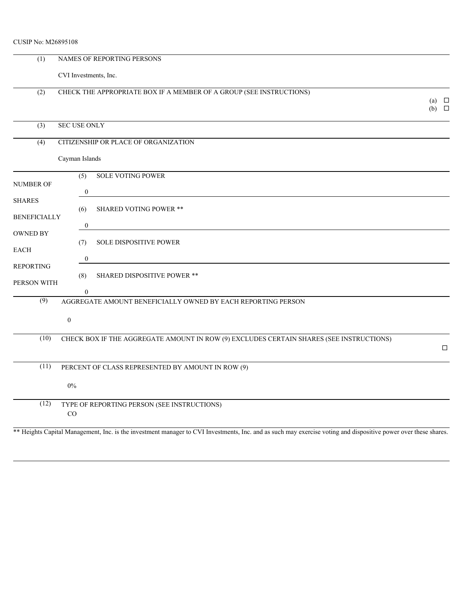| <b>CUSIP No: M26895108</b> |  |
|----------------------------|--|
|                            |  |

| (1)                                  | NAMES OF REPORTING PERSONS   |                                                                                                                                                                 |                               |  |  |
|--------------------------------------|------------------------------|-----------------------------------------------------------------------------------------------------------------------------------------------------------------|-------------------------------|--|--|
|                                      | CVI Investments, Inc.        |                                                                                                                                                                 |                               |  |  |
| (2)                                  |                              | CHECK THE APPROPRIATE BOX IF A MEMBER OF A GROUP (SEE INSTRUCTIONS)                                                                                             | (a) $\Box$<br>$(b)$ $\square$ |  |  |
| (3)                                  | SEC USE ONLY                 |                                                                                                                                                                 |                               |  |  |
| (4)                                  |                              | CITIZENSHIP OR PLACE OF ORGANIZATION                                                                                                                            |                               |  |  |
|                                      | Cayman Islands               |                                                                                                                                                                 |                               |  |  |
| NUMBER OF                            | $\overline{(5)}$<br>$\theta$ | <b>SOLE VOTING POWER</b>                                                                                                                                        |                               |  |  |
| <b>SHARES</b><br><b>BENEFICIALLY</b> | (6)                          | <b>SHARED VOTING POWER **</b>                                                                                                                                   |                               |  |  |
| <b>OWNED BY</b>                      | $\overline{0}$               |                                                                                                                                                                 |                               |  |  |
| <b>EACH</b>                          | (7)                          | SOLE DISPOSITIVE POWER                                                                                                                                          |                               |  |  |
| <b>REPORTING</b>                     |                              |                                                                                                                                                                 |                               |  |  |
| PERSON WITH                          | (8)                          | SHARED DISPOSITIVE POWER **                                                                                                                                     |                               |  |  |
| (9)                                  | $\theta$                     | AGGREGATE AMOUNT BENEFICIALLY OWNED BY EACH REPORTING PERSON                                                                                                    |                               |  |  |
|                                      | $\overline{0}$               |                                                                                                                                                                 |                               |  |  |
| (10)                                 |                              | CHECK BOX IF THE AGGREGATE AMOUNT IN ROW (9) EXCLUDES CERTAIN SHARES (SEE INSTRUCTIONS)                                                                         | $\Box$                        |  |  |
| (11)                                 |                              | PERCENT OF CLASS REPRESENTED BY AMOUNT IN ROW (9)                                                                                                               |                               |  |  |
|                                      | $0\%$                        |                                                                                                                                                                 |                               |  |  |
| (12)                                 | CO                           | TYPE OF REPORTING PERSON (SEE INSTRUCTIONS)                                                                                                                     |                               |  |  |
|                                      |                              | ** Heights Capital Management, Inc. is the investment manager to CVI Investments, Inc. and as such may exercise voting and dispositive power over these shares. |                               |  |  |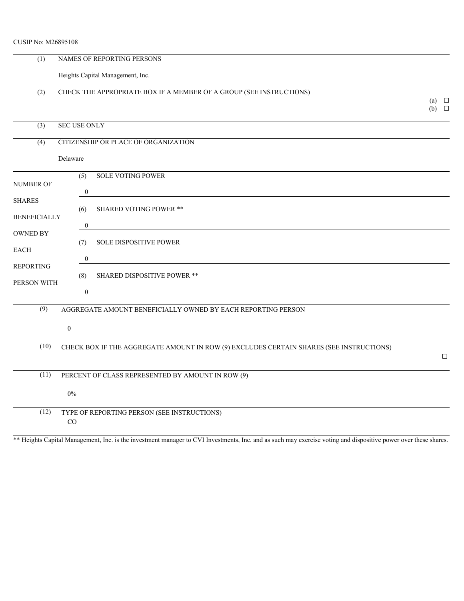| CUSIP No: M26895108                  |                       |                                                                                                                                                                 |                               |
|--------------------------------------|-----------------------|-----------------------------------------------------------------------------------------------------------------------------------------------------------------|-------------------------------|
| (1)                                  |                       | NAMES OF REPORTING PERSONS                                                                                                                                      |                               |
|                                      |                       | Heights Capital Management, Inc.                                                                                                                                |                               |
| (2)                                  |                       | CHECK THE APPROPRIATE BOX IF A MEMBER OF A GROUP (SEE INSTRUCTIONS)                                                                                             | (a) $\Box$<br>$(b)$ $\square$ |
| (3)                                  | SEC USE ONLY          |                                                                                                                                                                 |                               |
| (4)                                  |                       | CITIZENSHIP OR PLACE OF ORGANIZATION                                                                                                                            |                               |
|                                      | Delaware              |                                                                                                                                                                 |                               |
| NUMBER OF                            | (5)                   | <b>SOLE VOTING POWER</b>                                                                                                                                        |                               |
| <b>SHARES</b><br><b>BENEFICIALLY</b> | (6)<br>$\overline{0}$ | SHARED VOTING POWER **                                                                                                                                          |                               |
| OWNED BY<br>EACH                     | (7)                   | SOLE DISPOSITIVE POWER                                                                                                                                          |                               |
| REPORTING<br>PERSON WITH             | $\bf{0}$<br>(8)       | SHARED DISPOSITIVE POWER **                                                                                                                                     |                               |
|                                      | $\overline{0}$        |                                                                                                                                                                 |                               |
| (9)                                  | $\overline{0}$        | AGGREGATE AMOUNT BENEFICIALLY OWNED BY EACH REPORTING PERSON                                                                                                    |                               |
| (10)                                 |                       | CHECK BOX IF THE AGGREGATE AMOUNT IN ROW (9) EXCLUDES CERTAIN SHARES (SEE INSTRUCTIONS)                                                                         | $\Box$                        |
| (11)                                 |                       | PERCENT OF CLASS REPRESENTED BY AMOUNT IN ROW (9)                                                                                                               |                               |
|                                      | $0\%$                 |                                                                                                                                                                 |                               |
| (12)                                 | CO                    | TYPE OF REPORTING PERSON (SEE INSTRUCTIONS)                                                                                                                     |                               |
|                                      |                       | ** Heights Capital Management, Inc. is the investment manager to CVI Investments, Inc. and as such may exercise voting and dispositive power over these shares. |                               |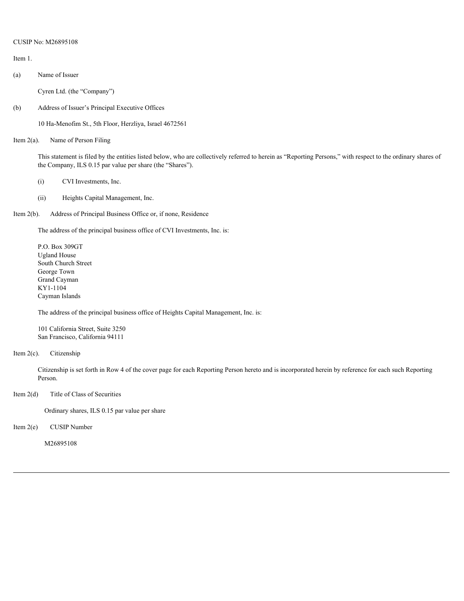Item 1.

(a) Name of Issuer

Cyren Ltd. (the "Company")

(b) Address of Issuer's Principal Executive Offices

10 Ha-Menofim St., 5th Floor, Herzliya, Israel 4672561

Item 2(a). Name of Person Filing

This statement is filed by the entities listed below, who are collectively referred to herein as "Reporting Persons," with respect to the ordinary shares of the Company, ILS 0.15 par value per share (the "Shares").

- (i) CVI Investments, Inc.
- (ii) Heights Capital Management, Inc.
- Item 2(b). Address of Principal Business Office or, if none, Residence

The address of the principal business office of CVI Investments, Inc. is:

P.O. Box 309GT Ugland House South Church Street George Town Grand Cayman KY1-1104 Cayman Islands

The address of the principal business office of Heights Capital Management, Inc. is:

101 California Street, Suite 3250 San Francisco, California 94111

Item 2(c). Citizenship

Citizenship is set forth in Row 4 of the cover page for each Reporting Person hereto and is incorporated herein by reference for each such Reporting Person.

Item 2(d) Title of Class of Securities

Ordinary shares, ILS 0.15 par value per share

Item 2(e) CUSIP Number

M26895108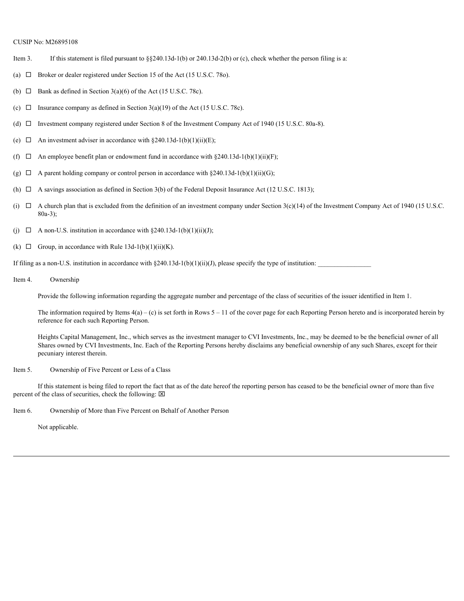- Item 3. If this statement is filed pursuant to §§240.13d-1(b) or 240.13d-2(b) or (c), check whether the person filing is a:
- (a)  $\Box$  Broker or dealer registered under Section 15 of the Act (15 U.S.C. 780).
- (b)  $\Box$  Bank as defined in Section 3(a)(6) of the Act (15 U.S.C. 78c).
- (c)  $\Box$  Insurance company as defined in Section 3(a)(19) of the Act (15 U.S.C. 78c).
- (d)  $\Box$  Investment company registered under Section 8 of the Investment Company Act of 1940 (15 U.S.C. 80a-8).
- (e)  $\Box$  An investment adviser in accordance with §240.13d-1(b)(1)(ii)(E);
- (f)  $\Box$  An employee benefit plan or endowment fund in accordance with §240.13d-1(b)(1)(ii)(F);
- (g)  $\Box$  A parent holding company or control person in accordance with §240.13d-1(b)(1)(ii)(G);
- (h)  $\Box$  A savings association as defined in Section 3(b) of the Federal Deposit Insurance Act (12 U.S.C. 1813);
- (i)  $\Box$  A church plan that is excluded from the definition of an investment company under Section 3(c)(14) of the Investment Company Act of 1940 (15 U.S.C. 80a-3);
- (i)  $\Box$  A non-U.S. institution in accordance with §240.13d-1(b)(1)(ii)(J);
- (k)  $\Box$  Group, in accordance with Rule 13d-1(b)(1)(ii)(K).

If filing as a non-U.S. institution in accordance with  $\S240.13d-1(b)(1)(ii)(J)$ , please specify the type of institution:

Item 4. Ownership

Provide the following information regarding the aggregate number and percentage of the class of securities of the issuer identified in Item 1.

The information required by Items  $4(a) - (c)$  is set forth in Rows  $5 - 11$  of the cover page for each Reporting Person hereto and is incorporated herein by reference for each such Reporting Person.

Heights Capital Management, Inc., which serves as the investment manager to CVI Investments, Inc., may be deemed to be the beneficial owner of all Shares owned by CVI Investments, Inc. Each of the Reporting Persons hereby disclaims any beneficial ownership of any such Shares, except for their pecuniary interest therein.

Item 5. Ownership of Five Percent or Less of a Class

If this statement is being filed to report the fact that as of the date hereof the reporting person has ceased to be the beneficial owner of more than five percent of the class of securities, check the following:  $\boxtimes$ 

Item 6. Ownership of More than Five Percent on Behalf of Another Person

Not applicable.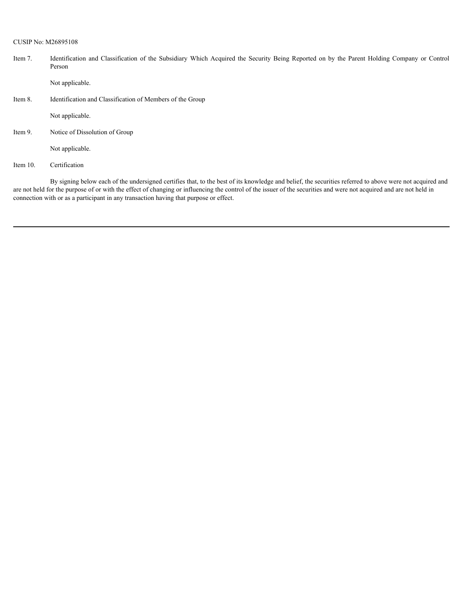Item 7. Identification and Classification of the Subsidiary Which Acquired the Security Being Reported on by the Parent Holding Company or Control Person

Not applicable.

Item 8. Identification and Classification of Members of the Group

Not applicable.

Item 9. Notice of Dissolution of Group

Not applicable.

Item 10. Certification

By signing below each of the undersigned certifies that, to the best of its knowledge and belief, the securities referred to above were not acquired and are not held for the purpose of or with the effect of changing or influencing the control of the issuer of the securities and were not acquired and are not held in connection with or as a participant in any transaction having that purpose or effect.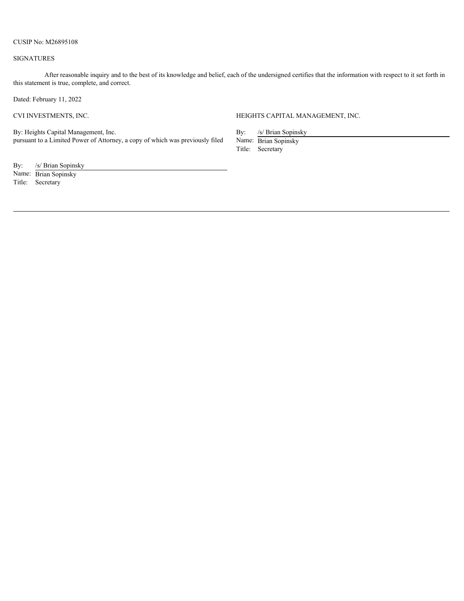#### SIGNATURES

After reasonable inquiry and to the best of its knowledge and belief, each of the undersigned certifies that the information with respect to it set forth in this statement is true, complete, and correct.

Dated: February 11, 2022

CVI INVESTMENTS, INC. HEIGHTS CAPITAL MANAGEMENT, INC.

By: Heights Capital Management, Inc. pursuant to a Limited Power of Attorney, a copy of which was previously filed By: /s/ Brian Sopinsky

Name: Brian Sopinsky Title: Secretary

By: /s/ Brian Sopinsky

Name: Brian Sopinsky Title: Secretary